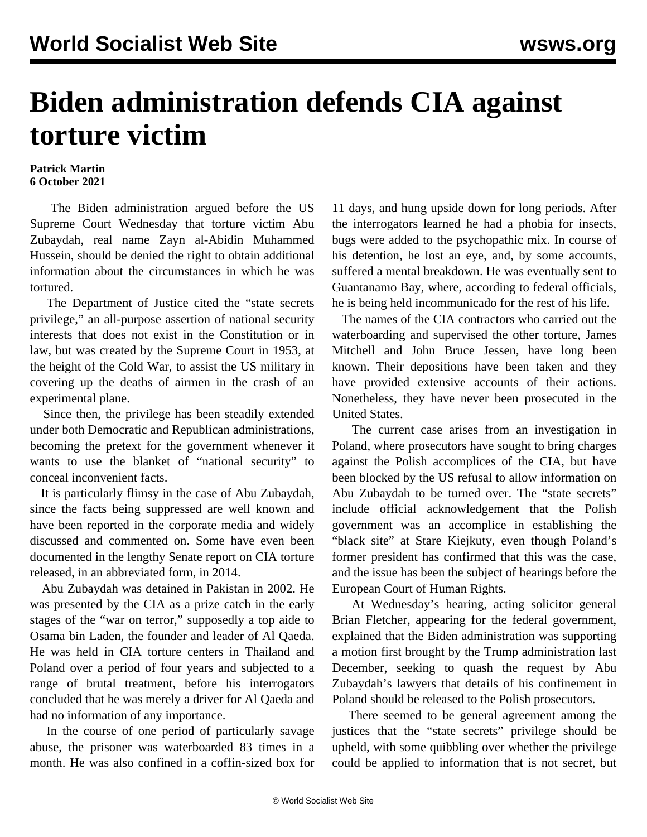## **Biden administration defends CIA against torture victim**

## **Patrick Martin 6 October 2021**

 The Biden administration argued before the US Supreme Court Wednesday that torture victim Abu Zubaydah, real name Zayn al-Abidin Muhammed Hussein, should be denied the right to obtain additional information about the circumstances in which he was tortured.

 The Department of Justice cited the "state secrets privilege," an all-purpose assertion of national security interests that does not exist in the Constitution or in law, but was created by the Supreme Court in 1953, at the height of the Cold War, to assist the US military in covering up the deaths of airmen in the crash of an experimental plane.

 Since then, the privilege has been steadily extended under both Democratic and Republican administrations, becoming the pretext for the government whenever it wants to use the blanket of "national security" to conceal inconvenient facts.

 It is particularly flimsy in the case of Abu Zubaydah, since the facts being suppressed are well known and have been reported in the corporate media and widely discussed and commented on. Some have even been documented in the lengthy Senate report on CIA torture released, in an abbreviated form, in 2014.

 Abu Zubaydah was detained in Pakistan in 2002. He was presented by the CIA as a prize catch in the early stages of the "war on terror," supposedly a top aide to Osama bin Laden, the founder and leader of Al Qaeda. He was held in CIA torture centers in Thailand and Poland over a period of four years and subjected to a range of brutal treatment, before his interrogators concluded that he was merely a driver for Al Qaeda and had no information of any importance.

 In the course of one period of particularly savage abuse, the prisoner was waterboarded 83 times in a month. He was also confined in a coffin-sized box for 11 days, and hung upside down for long periods. After the interrogators learned he had a phobia for insects, bugs were added to the psychopathic mix. In course of his detention, he lost an eye, and, by some accounts, suffered a mental breakdown. He was eventually sent to Guantanamo Bay, where, according to federal officials, he is being held incommunicado for the rest of his life.

 The names of the CIA contractors who carried out the waterboarding and supervised the other torture, James Mitchell and John Bruce Jessen, have long been known. Their depositions have been taken and they have provided extensive accounts of their actions. Nonetheless, they have never been prosecuted in the United States.

 The current case arises from an investigation in Poland, where prosecutors have sought to bring charges against the Polish accomplices of the CIA, but have been blocked by the US refusal to allow information on Abu Zubaydah to be turned over. The "state secrets" include official acknowledgement that the Polish government was an accomplice in establishing the "black site" at Stare Kiejkuty, even though Poland's former president has confirmed that this was the case, and the issue has been the subject of hearings before the European Court of Human Rights.

 At Wednesday's hearing, acting solicitor general Brian Fletcher, appearing for the federal government, explained that the Biden administration was supporting a motion first brought by the Trump administration last December, seeking to quash the request by Abu Zubaydah's lawyers that details of his confinement in Poland should be released to the Polish prosecutors.

 There seemed to be general agreement among the justices that the "state secrets" privilege should be upheld, with some quibbling over whether the privilege could be applied to information that is not secret, but